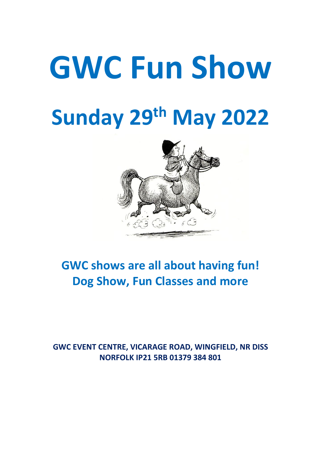# **GWC Fun Show Sunday 29th May 2022**



## **GWC shows are all about having fun! Dog Show, Fun Classes and more**

## **GWC EVENT CENTRE, VICARAGE ROAD, WINGFIELD, NR DISS NORFOLK IP21 5RB 01379 384 801**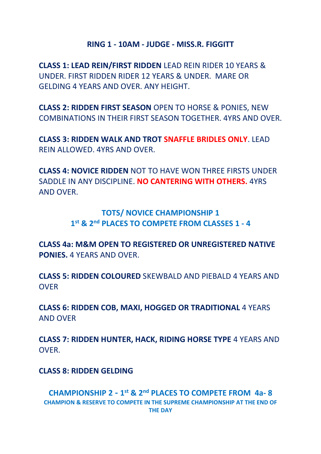#### **RING 1 - 10AM - JUDGE - MISS.R. FIGGITT**

**CLASS 1: LEAD REIN/FIRST RIDDEN** LEAD REIN RIDER 10 YEARS & UNDER. FIRST RIDDEN RIDER 12 YEARS & UNDER. MARE OR GELDING 4 YEARS AND OVER. ANY HEIGHT.

**CLASS 2: RIDDEN FIRST SEASON** OPEN TO HORSE & PONIES, NEW COMBINATIONS IN THEIR FIRST SEASON TOGETHER. 4YRS AND OVER.

**CLASS 3: RIDDEN WALK AND TROT SNAFFLE BRIDLES ONLY**. LEAD REIN ALLOWED. 4YRS AND OVER.

**CLASS 4: NOVICE RIDDEN** NOT TO HAVE WON THREE FIRSTS UNDER SADDLE IN ANY DISCIPLINE. **NO CANTERING WITH OTHERS.** 4YRS AND OVER.

## **TOTS/ NOVICE CHAMPIONSHIP 1 1 st & 2nd PLACES TO COMPETE FROM CLASSES 1 - 4**

**CLASS 4a: M&M OPEN TO REGISTERED OR UNREGISTERED NATIVE PONIES.** 4 YEARS AND OVER.

**CLASS 5: RIDDEN COLOURED** SKEWBALD AND PIEBALD 4 YEARS AND **OV<sub>FR</sub>** 

**CLASS 6: RIDDEN COB, MAXI, HOGGED OR TRADITIONAL** 4 YEARS AND OVER

**CLASS 7: RIDDEN HUNTER, HACK, RIDING HORSE TYPE** 4 YEARS AND OVER.

### **CLASS 8: RIDDEN GELDING**

**CHAMPIONSHIP 2 - 1 st & 2nd PLACES TO COMPETE FROM 4a- 8 CHAMPION & RESERVE TO COMPETE IN THE SUPREME CHAMPIONSHIP AT THE END OF THE DAY**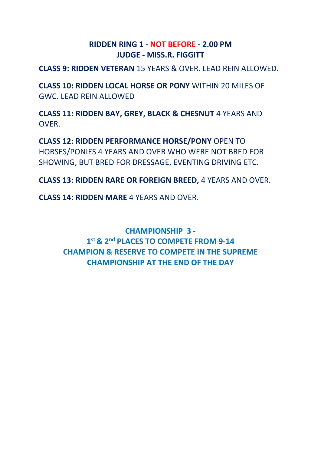## **RIDDEN RING 1 - NOT BEFORE - 2.00 PM JUDGE - MISS.R. FIGGITT**

**CLASS 9: RIDDEN VETERAN** 15 YEARS & OVER. LEAD REIN ALLOWED.

**CLASS 10: RIDDEN LOCAL HORSE OR PONY** WITHIN 20 MILES OF GWC. LEAD REIN ALLOWED

**CLASS 11: RIDDEN BAY, GREY, BLACK & CHESNUT** 4 YEARS AND OVER.

**CLASS 12: RIDDEN PERFORMANCE HORSE/PONY** OPEN TO HORSES/PONIES 4 YEARS AND OVER WHO WERE NOT BRED FOR SHOWING, BUT BRED FOR DRESSAGE, EVENTING DRIVING ETC.

**CLASS 13: RIDDEN RARE OR FOREIGN BREED,** 4 YEARS AND OVER.

**CLASS 14: RIDDEN MARE** 4 YEARS AND OVER.

**CHAMPIONSHIP 3 - 1 st & 2nd PLACES TO COMPETE FROM 9-14 CHAMPION & RESERVE TO COMPETE IN THE SUPREME CHAMPIONSHIP AT THE END OF THE DAY**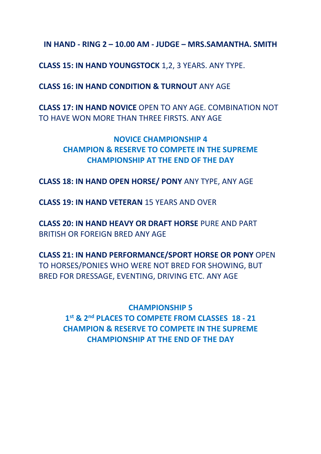**IN HAND - RING 2 – 10.00 AM - JUDGE – MRS.SAMANTHA. SMITH**

**CLASS 15: IN HAND YOUNGSTOCK** 1,2, 3 YEARS. ANY TYPE.

**CLASS 16: IN HAND CONDITION & TURNOUT** ANY AGE

**CLASS 17: IN HAND NOVICE** OPEN TO ANY AGE. COMBINATION NOT TO HAVE WON MORE THAN THREE FIRSTS. ANY AGE

> **NOVICE CHAMPIONSHIP 4 CHAMPION & RESERVE TO COMPETE IN THE SUPREME CHAMPIONSHIP AT THE END OF THE DAY**

**CLASS 18: IN HAND OPEN HORSE/ PONY** ANY TYPE, ANY AGE

**CLASS 19: IN HAND VETERAN** 15 YEARS AND OVER

**CLASS 20: IN HAND HEAVY OR DRAFT HORSE** PURE AND PART BRITISH OR FOREIGN BRED ANY AGE

**CLASS 21: IN HAND PERFORMANCE/SPORT HORSE OR PONY** OPEN TO HORSES/PONIES WHO WERE NOT BRED FOR SHOWING, BUT BRED FOR DRESSAGE, EVENTING, DRIVING ETC. ANY AGE

**CHAMPIONSHIP 5 1 st & 2nd PLACES TO COMPETE FROM CLASSES 18 - 21 CHAMPION & RESERVE TO COMPETE IN THE SUPREME CHAMPIONSHIP AT THE END OF THE DAY**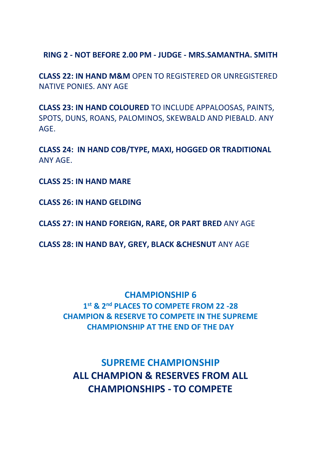**RING 2 - NOT BEFORE 2.00 PM - JUDGE - MRS.SAMANTHA. SMITH**

**CLASS 22: IN HAND M&M** OPEN TO REGISTERED OR UNREGISTERED NATIVE PONIES. ANY AGE

**CLASS 23: IN HAND COLOURED** TO INCLUDE APPALOOSAS, PAINTS, SPOTS, DUNS, ROANS, PALOMINOS, SKEWBALD AND PIEBALD. ANY AGE.

**CLASS 24: IN HAND COB/TYPE, MAXI, HOGGED OR TRADITIONAL**  ANY AGE.

**CLASS 25: IN HAND MARE**

**CLASS 26: IN HAND GELDING**

**CLASS 27: IN HAND FOREIGN, RARE, OR PART BRED** ANY AGE

**CLASS 28: IN HAND BAY, GREY, BLACK &CHESNUT** ANY AGE

#### **CHAMPIONSHIP 6**

**1 st & 2nd PLACES TO COMPETE FROM 22 -28 CHAMPION & RESERVE TO COMPETE IN THE SUPREME CHAMPIONSHIP AT THE END OF THE DAY**

**SUPREME CHAMPIONSHIP ALL CHAMPION & RESERVES FROM ALL CHAMPIONSHIPS - TO COMPETE**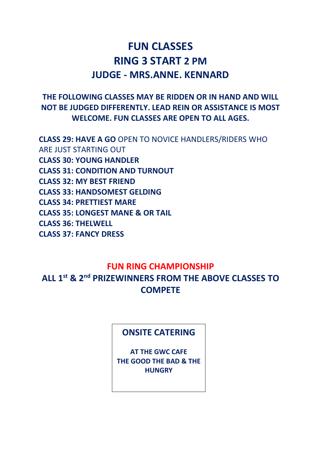## **FUN CLASSES RING 3 START 2 PM JUDGE - MRS.ANNE. KENNARD**

## **THE FOLLOWING CLASSES MAY BE RIDDEN OR IN HAND AND WILL NOT BE JUDGED DIFFERENTLY. LEAD REIN OR ASSISTANCE IS MOST WELCOME. FUN CLASSES ARE OPEN TO ALL AGES.**

**CLASS 29: HAVE A GO** OPEN TO NOVICE HANDLERS/RIDERS WHO ARE JUST STARTING OUT **CLASS 30: YOUNG HANDLER CLASS 31: CONDITION AND TURNOUT CLASS 32: MY BEST FRIEND CLASS 33: HANDSOMEST GELDING CLASS 34: PRETTIEST MARE CLASS 35: LONGEST MANE & OR TAIL CLASS 36: THELWELL CLASS 37: FANCY DRESS**

### **FUN RING CHAMPIONSHIP**

**ALL 1st & 2nd PRIZEWINNERS FROM THE ABOVE CLASSES TO COMPETE**

### **ONSITE CATERING**

**AT THE GWC CAFE THE GOOD THE BAD & THE HUNGRY**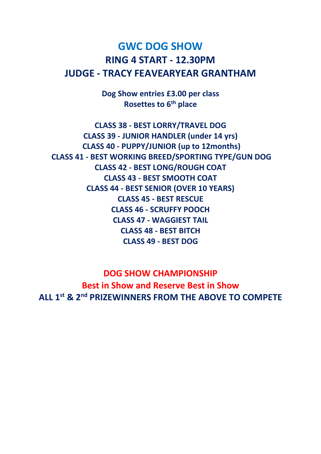## **GWC DOG SHOW RING 4 START - 12.30PM JUDGE - TRACY FEAVEARYEAR GRANTHAM**

**Dog Show entries £3.00 per class Rosettes to 6th place**

**CLASS 38 - BEST LORRY/TRAVEL DOG CLASS 39 - JUNIOR HANDLER (under 14 yrs) CLASS 40 - PUPPY/JUNIOR (up to 12months) CLASS 41 - BEST WORKING BREED/SPORTING TYPE/GUN DOG CLASS 42 - BEST LONG/ROUGH COAT CLASS 43 - BEST SMOOTH COAT CLASS 44 - BEST SENIOR (OVER 10 YEARS) CLASS 45 - BEST RESCUE CLASS 46 - SCRUFFY POOCH CLASS 47 - WAGGIEST TAIL CLASS 48 - BEST BITCH CLASS 49 - BEST DOG** 

**DOG SHOW CHAMPIONSHIP Best in Show and Reserve Best in Show ALL 1st & 2nd PRIZEWINNERS FROM THE ABOVE TO COMPETE**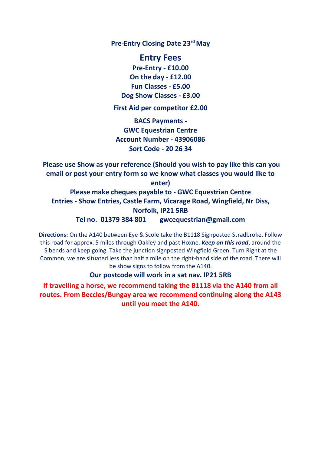**Pre-Entry Closing Date 23rdMay**

**Entry Fees Pre-Entry - £10.00 On the day - £12.00 Fun Classes - £5.00 Dog Show Classes - £3.00**

**First Aid per competitor £2.00**

**BACS Payments - GWC Equestrian Centre Account Number - 43906086 Sort Code - 20 26 34**

**Please use Show as your reference (Should you wish to pay like this can you email or post your entry form so we know what classes you would like to enter)**

**Please make cheques payable to - GWC Equestrian Centre Entries - Show Entries, Castle Farm, Vicarage Road, Wingfield, Nr Diss, Norfolk, IP21 5RB Tel no. 01379 384 801 gwcequestrian@gmail.com**

**Directions:** On the A140 between Eye & Scole take the B1118 Signposted Stradbroke. Follow this road for approx. 5 miles through Oakley and past Hoxne. *Keep on this road*, around the S bends and keep going. Take the junction signposted Wingfield Green. Turn Right at the Common, we are situated less than half a mile on the right-hand side of the road. There will be show signs to follow from the A140.

**Our postcode will work in a sat nav. IP21 5RB** 

**If travelling a horse, we recommend taking the B1118 via the A140 from all routes. From Beccles/Bungay area we recommend continuing along the A143 until you meet the A140.**